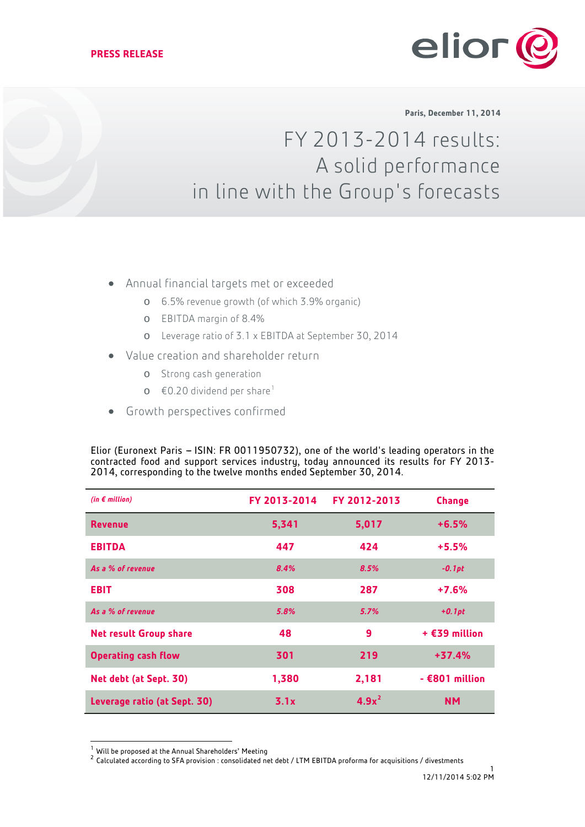

**Paris, December 11, 2014**

# FY 2013-2014 results: A solid performance in line with the Group's forecasts

- Annual financial targets met or exceeded
	- o 6.5% revenue growth (of which 3.9% organic)
	- o EBITDA margin of 8.4%
	- o Leverage ratio of 3.1 x EBITDA at September 30, 2014
- Value creation and shareholder return
	- o Strong cash generation
	- $\circ$  €0.20 dividend per share<sup>[1](#page-0-0)</sup>
- Growth perspectives confirmed

Elior (Euronext Paris - ISIN: FR 0011950732), one of the world's leading operators in the contracted food and support services industry, today announced its results for FY 2013- 2014, corresponding to the twelve months ended September 30, 2014.

| (in $\epsilon$ million)       | FY 2013-2014 | FY 2012-2013 | <b>Change</b>    |
|-------------------------------|--------------|--------------|------------------|
| <b>Revenue</b>                | 5,341        | 5,017        | $+6.5%$          |
| <b>EBITDA</b>                 | 447          | 424          | $+5.5%$          |
| As a % of revenue             | 8.4%         | 8.5%         | $-0.1pt$         |
| <b>EBIT</b>                   | 308          | 287          | $+7.6%$          |
| As a % of revenue             | 5.8%         | 5.7%         | $+0.1pt$         |
| <b>Net result Group share</b> | 48           | 9            | $+$ £39 million  |
| <b>Operating cash flow</b>    | 301          | 219          | $+37.4%$         |
| Net debt (at Sept. 30)        | 1,380        | 2,181        | $-$ €801 million |
| Leverage ratio (at Sept. 30)  | 3.1x         | $4.9x^2$     | <b>NM</b>        |

<span id="page-0-0"></span><sup>&</sup>lt;sup>1</sup> Will be proposed at the Annual Shareholders' Meeting<br><sup>2</sup> Calculated according to SFA provision : consolidated net debt / LTM EBITDA proforma for acquisitions / divestments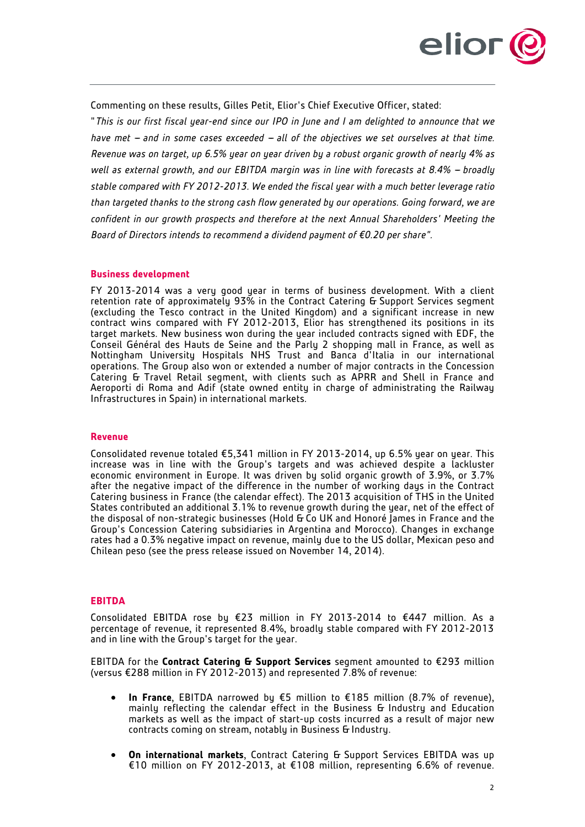

Commenting on these results, Gilles Petit, Elior's Chief Executive Officer, stated:

"*This is our first fiscal year-end since our IPO in June and I am delighted to announce that we have met - and in some cases exceeded - all of the objectives we set ourselves at that time. Revenue was on target, up 6.5% year on year driven by a robust organic growth of nearly 4% as well as external growth, and our EBITDA margin was in line with forecasts at 8.4% - broadly stable compared with FY 2012-2013. We ended the fiscal year with a much better leverage ratio than targeted thanks to the strong cash flow generated by our operations. Going forward, we are confident in our growth prospects and therefore at the next Annual Shareholders' Meeting the Board of Directors intends to recommend a dividend payment of €0.20 per share".*

#### **Business development**

FY 2013-2014 was a very good year in terms of business development. With a client retention rate of approximately 93% in the Contract Catering G Support Services segment (excluding the Tesco contract in the United Kingdom) and a significant increase in new contract wins compared with FY 2012-2013, Elior has strengthened its positions in its target markets. New business won during the year included contracts signed with EDF, the Conseil Général des Hauts de Seine and the Parly 2 shopping mall in France, as well as Nottingham University Hospitals NHS Trust and Banca d'Italia in our international operations. The Group also won or extended a number of major contracts in the Concession Catering & Travel Retail segment, with clients such as APRR and Shell in France and Aeroporti di Roma and Adif (state owned entity in charge of administrating the Railway Infrastructures in Spain) in international markets.

# **Revenue**

Consolidated revenue totaled €5,341 million in FY 2013-2014, up 6.5% year on year. This increase was in line with the Group's targets and was achieved despite a lackluster economic environment in Europe. It was driven by solid organic growth of 3.9%, or 3.7% after the negative impact of the difference in the number of working days in the Contract Catering business in France (the calendar effect). The 2013 acquisition of THS in the United States contributed an additional 3.1% to revenue growth during the year, net of the effect of the disposal of non-strategic businesses (Hold & Co UK and Honoré James in France and the Group's Concession Catering subsidiaries in Argentina and Morocco). Changes in exchange rates had a 0.3% negative impact on revenue, mainly due to the US dollar, Mexican peso and Chilean peso (see the press release issued on November 14, 2014).

#### **EBITDA**

Consolidated EBITDA rose by €23 million in FY 2013-2014 to €447 million. As a percentage of revenue, it represented 8.4%, broadly stable compared with FY 2012-2013 and in line with the Group's target for the year.

EBITDA for the **Contract Catering & Support Services** segment amounted to €293 million (versus €288 million in FY 2012-2013) and represented 7.8% of revenue:

- **In France**, EBITDA narrowed by €5 million to €185 million (8.7% of revenue), mainly reflecting the calendar effect in the Business & Industry and Education markets as well as the impact of start-up costs incurred as a result of major new contracts coming on stream, notably in Business & Industry.
- **On international markets**, Contract Catering & Support Services EBITDA was up €10 million on FY 2012-2013, at €108 million, representing 6.6% of revenue.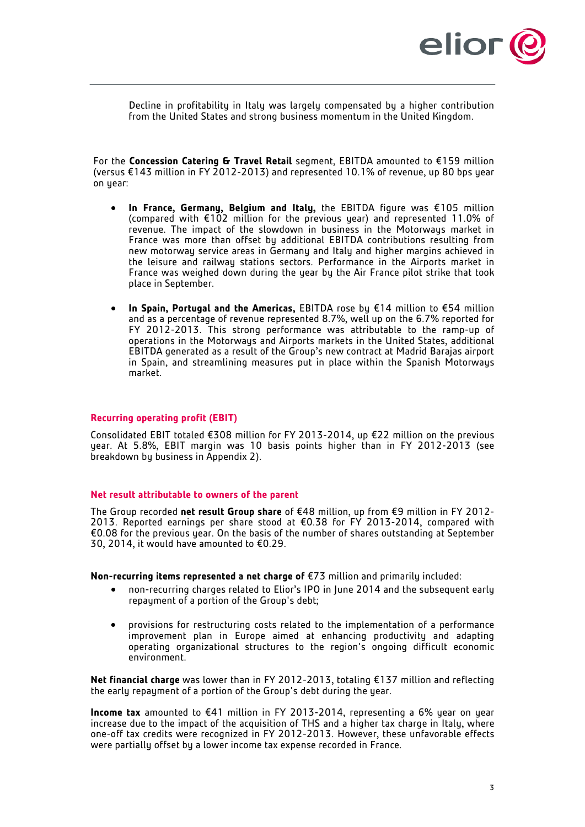

Decline in profitability in Italy was largely compensated by a higher contribution from the United States and strong business momentum in the United Kingdom.

For the **Concession Catering & Travel Retail** segment, EBITDA amounted to €159 million (versus €143 million in FY 2012-2013) and represented 10.1% of revenue, up 80 bps year on year:

- **In France, Germany, Belgium and Italy,** the EBITDA figure was €105 million (compared with €102 million for the previous year) and represented 11.0% of revenue. The impact of the slowdown in business in the Motorwaus market in France was more than offset by additional EBITDA contributions resulting from new motorway service areas in Germany and Italy and higher margins achieved in the leisure and railway stations sectors. Performance in the Airports market in France was weighed down during the year by the Air France pilot strike that took place in September.
- **In Spain, Portugal and the Americas,** EBITDA rose by €14 million to €54 million and as a percentage of revenue represented 8.7%, well up on the 6.7% reported for FY 2012-2013. This strong performance was attributable to the ramp-up of operations in the Motorways and Airports markets in the United States, additional EBITDA generated as a result of the Group's new contract at Madrid Barajas airport in Spain, and streamlining measures put in place within the Spanish Motorways market.

# **Recurring operating profit (EBIT)**

Consolidated EBIT totaled €308 million for FY 2013-2014, up €22 million on the previous year. At 5.8%, EBIT margin was 10 basis points higher than in FY 2012-2013 (see breakdown by business in Appendix 2).

# **Net result attributable to owners of the parent**

The Group recorded **net result Group share** of €48 million, up from €9 million in FY 2012- 2013. Reported earnings per share stood at €0.38 for FY 2013-2014, compared with €0.08 for the previous year. On the basis of the number of shares outstanding at September 30, 2014, it would have amounted to €0.29.

**Non-recurring items represented a net charge of** €73 million and primarily included:

- non-recurring charges related to Elior's IPO in June 2014 and the subsequent early repayment of a portion of the Group's debt;
- provisions for restructuring costs related to the implementation of a performance improvement plan in Europe aimed at enhancing productivity and adapting operating organizational structures to the region's ongoing difficult economic environment.

**Net financial charge** was lower than in FY 2012-2013, totaling €137 million and reflecting the early repayment of a portion of the Group's debt during the year.

**Income tax** amounted to €41 million in FY 2013-2014, representing a 6% year on year increase due to the impact of the acquisition of THS and a higher tax charge in Italy, where one-off tax credits were recognized in FY 2012-2013. However, these unfavorable effects were partially offset by a lower income tax expense recorded in France.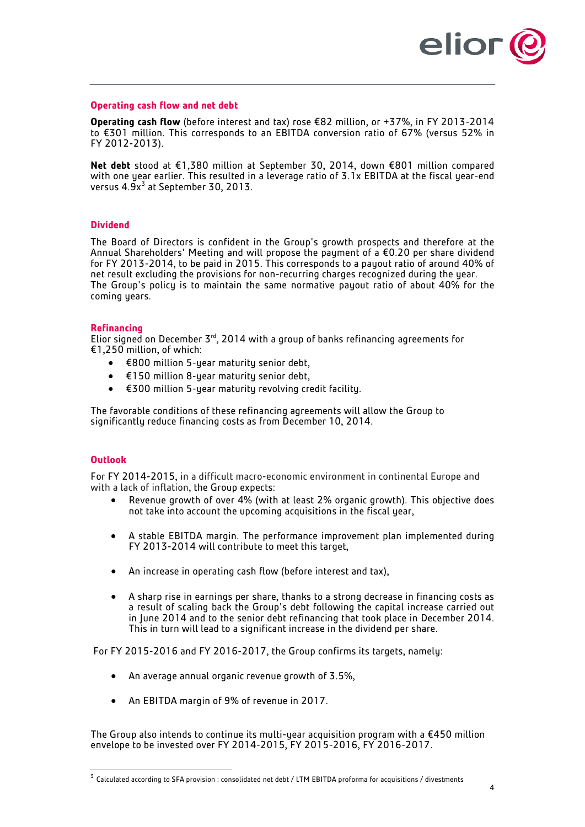

## **Operating cash flow and net debt**

**Operating cash flow** (before interest and tax) rose €82 million, or +37%, in FY 2013-2014 to €301 million. This corresponds to an EBITDA conversion ratio of 67% (versus 52% in FY 2012-2013).

**Net debt** stood at €1,380 million at September 30, 2014, down €801 million compared with one year earlier. This resulted in a leverage ratio of 3.1x EBITDA at the fiscal year-end versus  $4.9x^3$  $4.9x^3$  at September 30, 2013.

# **Dividend**

The Board of Directors is confident in the Group's growth prospects and therefore at the Annual Shareholders' Meeting and will propose the payment of a €0.20 per share dividend for FY 2013-2014, to be paid in 2015. This corresponds to a payout ratio of around 40% of net result excluding the provisions for non-recurring charges recognized during the year. The Group's policy is to maintain the same normative payout ratio of about 40% for the coming years.

#### **Refinancing**

Elior signed on December  $5<sup>rd</sup>$ , 2014 with a group of banks refinancing agreements for €1,250 million, of which:

- $\epsilon$ 800 million 5-year maturity senior debt,
- €150 million 8-year maturity senior debt,
- €300 million 5-year maturity revolving credit facility.

The favorable conditions of these refinancing agreements will allow the Group to significantly reduce financing costs as from December 10, 2014.

# **Outlook**

For FY 2014-2015, in a difficult macro-economic environment in continental Europe and with a lack of inflation, the Group expects:

- Revenue growth of over 4% (with at least 2% organic growth). This objective does not take into account the upcoming acquisitions in the fiscal year,
- A stable EBITDA margin. The performance improvement plan implemented during FY 2013-2014 will contribute to meet this target,
- An increase in operating cash flow (before interest and tax),
- A sharp rise in earnings per share, thanks to a strong decrease in financing costs as a result of scaling back the Group's debt following the capital increase carried out in June 2014 and to the senior debt refinancing that took place in December 2014. This in turn will lead to a significant increase in the dividend per share.

For FY 2015-2016 and FY 2016-2017, the Group confirms its targets, namely:

- An average annual organic revenue growth of 3.5%,
- An EBITDA margin of 9% of revenue in 2017.

The Group also intends to continue its multi-year acquisition program with a €450 million envelope to be invested over FY 2014-2015, FY 2015-2016, FY 2016-2017.

<span id="page-3-0"></span> <sup>3</sup> Calculated according to SFA provision : consolidated net debt / LTM EBITDA proforma for acquisitions / divestments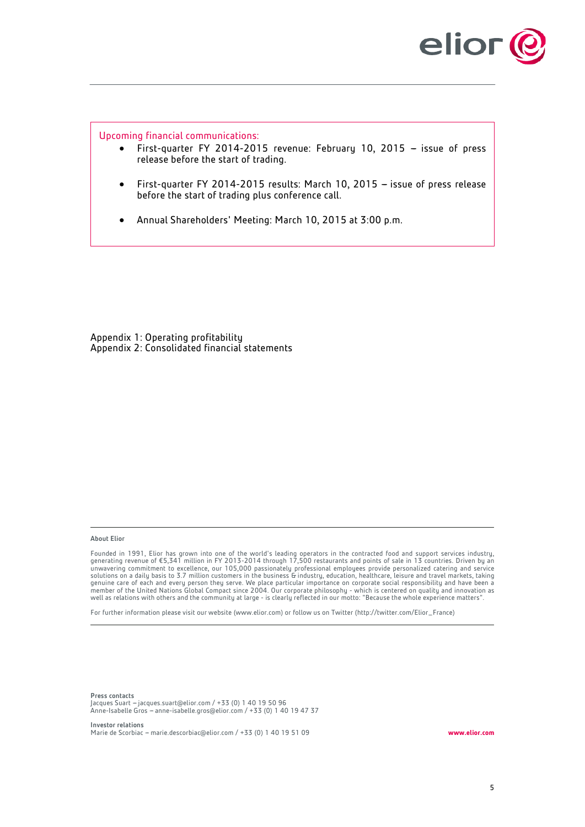

Upcoming financial communications:

- First-quarter FY 2014-2015 revenue: February 10, 2015 issue of press release before the start of trading.
- First-quarter FY 2014-2015 results: March 10, 2015  $-$  issue of press release before the start of trading plus conference call.
- Annual Shareholders' Meeting: March 10, 2015 at 3:00 p.m.

Appendix 1: Operating profitability Appendix 2: Consolidated financial statements

#### About Elior

Founded in 1991, Elior has grown into one of the world's leading operators in the contracted food and support services industry,<br>generating revenue of €5,341 million in FY 2013-2014 through 17,500 restaurants and points o solutions on a daily basis to 3.7 million customers in the business & industry, education, healthcare, leisure and travel markets, taking genuine care of each and every person they serve. We place particular importance on corporate social responsibility and have been a<br>member of the United Nations Global Compact since 2004. Our corporate philosophy - which i well as relations with others and the community at large - is clearly reflected in our motto: "Because the whole experience matters".

For further information please visit our website (www.elior.com) or follow us on Twitter (http://twitter.com/Elior\_France)

Press contacts 11000 concecto<br>Jacques Suart – [jacques.suart@elior.com](mailto:jacques.suart@elior.com) / +33 (0) 1 40 19 50 96 Anne-Isabelle Gros -- [anne-isabelle.gros@elior.com](mailto:anne-isabelle.gros@elior.com) / +33 (0) 1 40 19 47 37

Investor relations Marie de Scorbiac -- [marie.descorbiac@elior.com](mailto:marie.descorbiac@elior.com) / +33 (0) 1 40 19 51 09 **www.elior.com**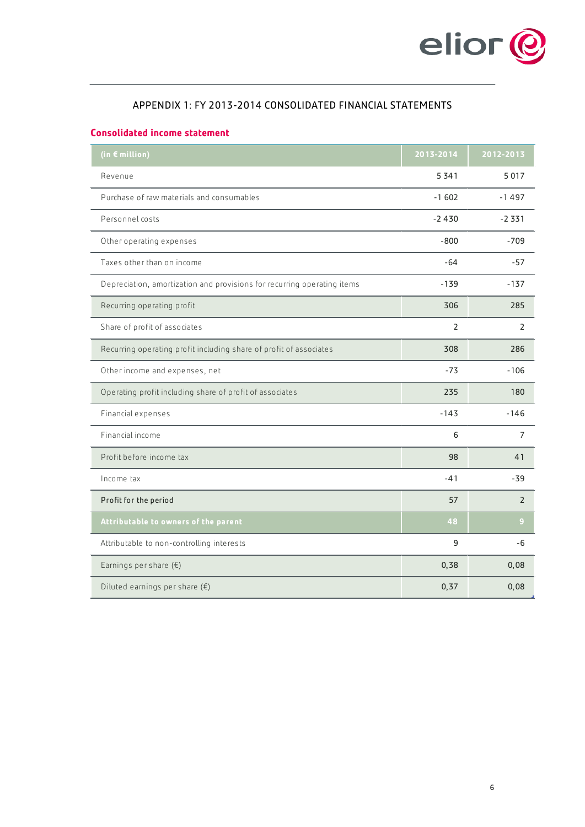

# APPENDIX 1: FY 2013-2014 CONSOLIDATED FINANCIAL STATEMENTS

# **Consolidated income statement**

| (in € million)                                                          | 2013-2014 | 2012-2013      |
|-------------------------------------------------------------------------|-----------|----------------|
| Revenue                                                                 | 5341      | 5017           |
| Purchase of raw materials and consumables                               | $-1602$   | $-1497$        |
| Personnel costs                                                         | $-2430$   | $-2331$        |
| Other operating expenses                                                | $-800$    | $-709$         |
| Taxes other than on income                                              | $-64$     | $-57$          |
| Depreciation, amortization and provisions for recurring operating items | $-139$    | $-137$         |
| Recurring operating profit                                              | 306       | 285            |
| Share of profit of associates                                           | 2         | $\overline{2}$ |
| Recurring operating profit including share of profit of associates      | 308       | 286            |
| Other income and expenses, net                                          | $-73$     | $-106$         |
| Operating profit including share of profit of associates                | 235       | 180            |
| Financial expenses                                                      | $-143$    | $-146$         |
| Financial income                                                        | 6         | $\overline{7}$ |
| Profit before income tax                                                | 98        | 41             |
| Income tax                                                              | $-41$     | $-39$          |
| Profit for the period                                                   | 57        | $\overline{2}$ |
| Attributable to owners of the parent                                    | 48        | 9              |
| Attributable to non-controlling interests                               | 9         | -6             |
| Earnings per share $(\epsilon)$                                         | 0, 38     | 0,08           |
| Diluted earnings per share $(\epsilon)$                                 | 0, 37     | 0,08           |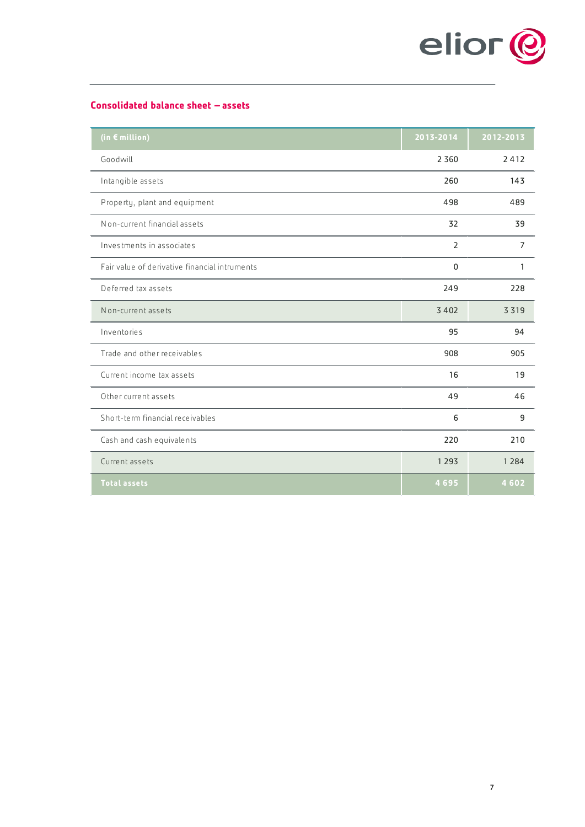

# **Consolidated balance sheet - assets**

| (in € million)                                | 2013-2014   | 2012-2013      |
|-----------------------------------------------|-------------|----------------|
| Goodwill                                      | 2 3 6 0     | 2412           |
| Intangible assets                             | 260         | 143            |
| Property, plant and equipment                 | 498         | 489            |
| Non-current financial assets                  | 32          | 39             |
| Investments in associates                     | 2           | $\overline{7}$ |
| Fair value of derivative financial intruments | $\mathbf 0$ | 1              |
| Deferred tax assets                           | 249         | 228            |
| Non-current assets                            | 3402        | 3319           |
| Inventories                                   | 95          | 94             |
| Trade and other receivables                   | 908         | 905            |
| Current income tax assets                     | 16          | 19             |
| Other current assets                          | 49          | 46             |
| Short-term financial receivables              | 6           | 9              |
| Cash and cash equivalents                     | 220         | 210            |
| Current assets                                | 1 2 9 3     | 1 2 8 4        |
| <b>Total assets</b>                           | 4695        | 4602           |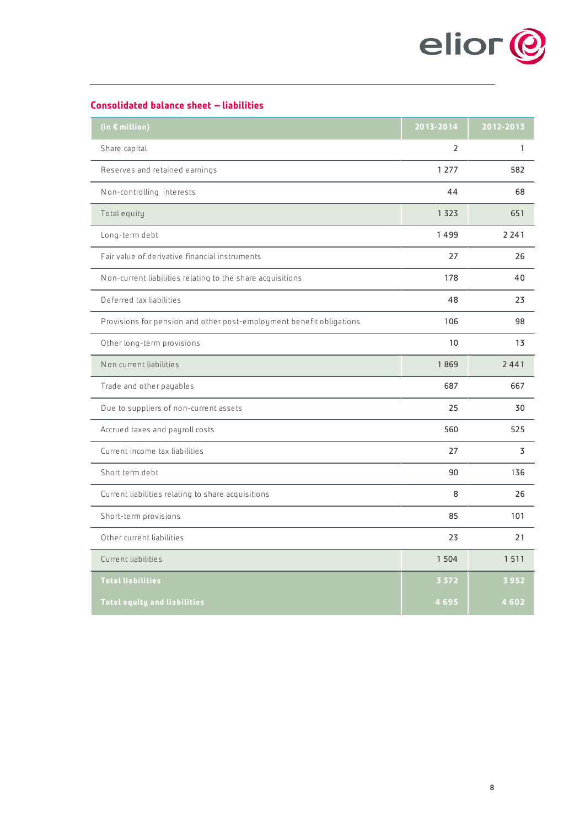

# **Consolidated balance sheet - liabilities**

| (in € million)                                                       | 2013-2014 | 2012-2013    |
|----------------------------------------------------------------------|-----------|--------------|
| Share capital                                                        | 2         | $\mathbf{1}$ |
| Reserves and retained earnings                                       | 1 2 7 7   | 582          |
| Non-controlling interests                                            | 44        | 68           |
| Total equity                                                         | 1323      | 651          |
| Long-term debt                                                       | 1499      | 2 2 4 1      |
| Fair value of derivative financial instruments                       | 27        | 26           |
| Non-current liabilities relating to the share acquisitions           | 178       | 40           |
| Deferred tax liabilities                                             | 48        | 23           |
| Provisions for pension and other post-employment benefit obligations | 106       | 98           |
| Other long-term provisions                                           | 10        | 13           |
| Non current liabilities                                              | 1869      | 2441         |
| Trade and other payables                                             | 687       | 667          |
| Due to suppliers of non-current assets                               | 25        | 30           |
| Accrued taxes and payroll costs                                      | 560       | 525          |
| Current income tax liabilities                                       | 27        | 3            |
| Short term debt                                                      | 90        | 136          |
| Current liabilities relating to share acquisitions                   | 8         | 26           |
| Short-term provisions                                                | 85        | 101          |
| Other current liabilities                                            | 23        | 21           |
| Current liabilities                                                  | 1 5 0 4   | 1511         |
| <b>Total liabilities</b>                                             | 3 3 7 2   | 3952         |
| <b>Total equity and liabilities</b>                                  | 4695      | 4602         |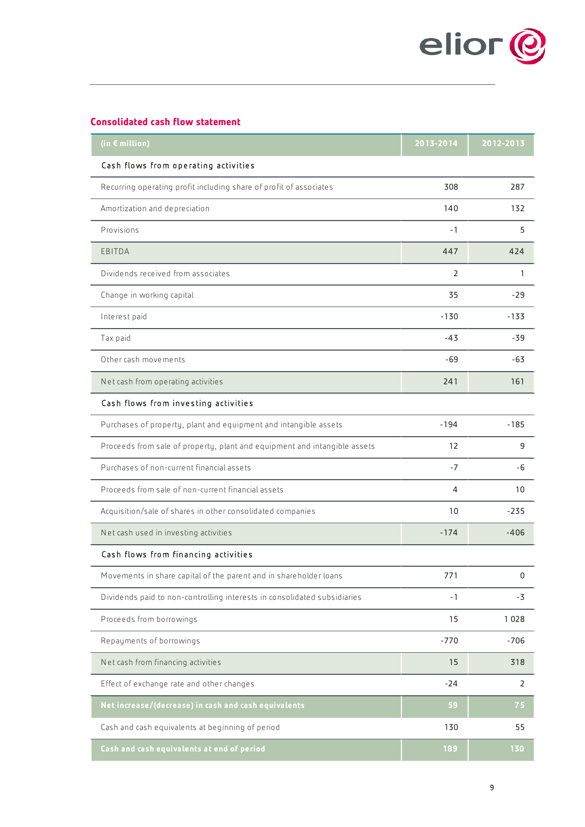

# **Consolidated cash flow statement**

| (in € million)                                                            | 2013-2014 | 2012-2013      |
|---------------------------------------------------------------------------|-----------|----------------|
| Cash flows from operating activities                                      |           |                |
| Recurring operating profit including share of profit of associates        | 308       | 287            |
| Amortization and depreciation                                             | 140       | 132            |
| Provisions                                                                | -1        | 5              |
| EBITDA                                                                    | 447       | 424            |
| Dividends received from associates                                        | 2         | 1              |
| Change in working capital                                                 | 35        | $-29$          |
| Interest paid                                                             | $-130$    | $-133$         |
| Tax paid                                                                  | -43       | -39            |
| Other cash movements                                                      | -69       | -63            |
| Net cash from operating activities                                        | 241       | 161            |
| Cash flows from investing activities                                      |           |                |
| Purchases of property, plant and equipment and intangible assets          | $-194$    | $-185$         |
| Proceeds from sale of property, plant and equipment and intangible assets | 12        | 9              |
| Purchases of non-current financial assets                                 | -7        | -6             |
| Proceeds from sale of non-current financial assets                        | 4         | 10             |
| Acquisition/sale of shares in other consolidated companies                | 10        | $-235$         |
| Net cash used in investing activities                                     | $-174$    | $-406$         |
| Cash flows from financing activities                                      |           |                |
| Movements in share capital of the parent and in shareholder loans         | 771       | 0              |
| Dividends paid to non-controlling interests in consolidated subsidiaries  | $-1$      | $-3$           |
| Proceeds from borrowings                                                  | 15        | 1028           |
| Repayments of borrowings                                                  | $-770$    | $-706$         |
| Net cash from financing activities                                        | 15        | 318            |
| Effect of exchange rate and other changes                                 | $-24$     | $\overline{2}$ |
| Net increase/(decrease) in cash and cash equivalents                      | 59        | 75             |
| Cash and cash equivalents at beginning of period                          | 130       | 55             |
| Cash and cash equivalents at end of period                                | 189       | 130            |